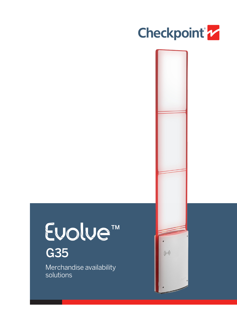

# Euolue<sup>TM</sup> G35

Merchandise availability solutions